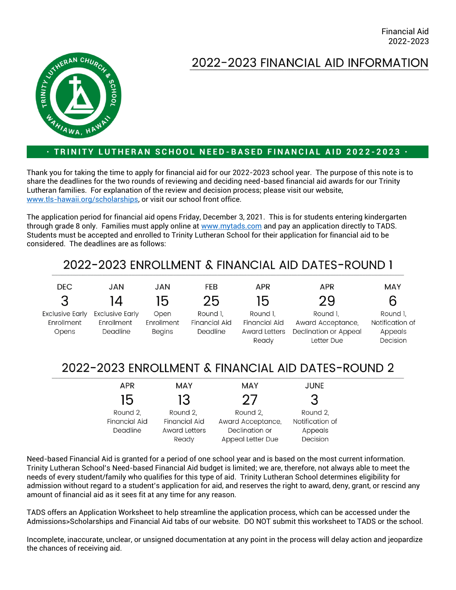Financial Aid 2022-2023



## 2022-2023 FINANCIAL AID INFORMATION

## **T R I N I T Y L U T H E R A N S C H O O L N E E D - B A S E D F I N A N C I A L A I D 2 0 2 2 - 2 0 2 3**

Thank you for taking the time to apply for financial aid for our 2022-2023 school year. The purpose of this note is to share the deadlines for the two rounds of reviewing and deciding need-based financial aid awards for our Trinity Lutheran families. For explanation of the review and decision process; please visit our website, [www.tls-hawaii.org/scholarships,](http://www.tls-hawaii.org/scholarships) or visit our school front office.

The application period for financial aid opens Friday, December 3, 2021. This is for students entering kindergarten through grade 8 only. Families must apply online at [www.mytads.com](http://www.mytads.com/) and pay an application directly to TADS. Students must be accepted and enrolled to Trinity Lutheran School for their application for financial aid to be considered. The deadlines are as follows:

## 2022-2023 ENROLLMENT & FINANCIAL AID DATES-ROUND 1

| DEC                    | JAN                    | JAN           | <b>FEB</b>           | <b>APR</b>           | <b>APR</b>                   | MAY             |
|------------------------|------------------------|---------------|----------------------|----------------------|------------------------------|-----------------|
| 3                      |                        | 15.           | 25                   | 15                   | 29                           | 6               |
| <b>Exclusive Early</b> | <b>Exclusive Early</b> | Open          | Round I,             | Round I,             | Round I.                     | Round I.        |
| Enrollment             | Enrollment             | Enrollment    | <b>Financial Aid</b> | <b>Financial Aid</b> | Award Acceptance,            | Notification of |
| Opens                  | Deadline               | <b>Begins</b> | Deadline             | <b>Award Letters</b> | <b>Declination or Appeal</b> | Appeals         |
|                        |                        |               |                      | Ready                | Letter Due                   | Decision        |

## 2022-2023 ENROLLMENT & FINANCIAL AID DATES-ROUND 2

| <b>APR</b>           | MAY                  | MAY               | <b>JUNE</b>     |
|----------------------|----------------------|-------------------|-----------------|
| 15                   | 13                   | 27                | 3               |
| Round 2,             | Round 2,             | Round 2,          | Round 2,        |
| <b>Financial Aid</b> | <b>Financial Aid</b> | Award Acceptance, | Notification of |
| Deadline             | <b>Award Letters</b> | Declination or    | Appeals         |
|                      | Ready                | Appeal Letter Due | Decision        |

Need-based Financial Aid is granted for a period of one school year and is based on the most current information. Trinity Lutheran School's Need-based Financial Aid budget is limited; we are, therefore, not always able to meet the needs of every student/family who qualifies for this type of aid. Trinity Lutheran School determines eligibility for admission without regard to a student's application for aid, and reserves the right to award, deny, grant, or rescind any amount of financial aid as it sees fit at any time for any reason.

TADS offers an Application Worksheet to help streamline the application process, which can be accessed under the Admissions>Scholarships and Financial Aid tabs of our website. DO NOT submit this worksheet to TADS or the school.

Incomplete, inaccurate, unclear, or unsigned documentation at any point in the process will delay action and jeopardize the chances of receiving aid.